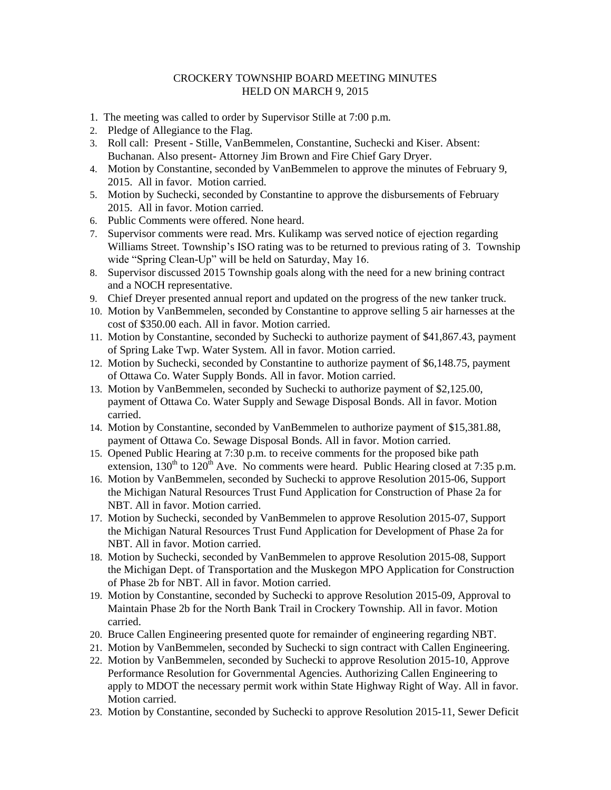## CROCKERY TOWNSHIP BOARD MEETING MINUTES HELD ON MARCH 9, 2015

- 1. The meeting was called to order by Supervisor Stille at 7:00 p.m.
- 2. Pledge of Allegiance to the Flag.
- 3. Roll call: Present Stille, VanBemmelen, Constantine, Suchecki and Kiser. Absent: Buchanan. Also present- Attorney Jim Brown and Fire Chief Gary Dryer.
- 4. Motion by Constantine, seconded by VanBemmelen to approve the minutes of February 9, 2015. All in favor. Motion carried.
- 5. Motion by Suchecki, seconded by Constantine to approve the disbursements of February 2015. All in favor. Motion carried.
- 6. Public Comments were offered. None heard.
- 7. Supervisor comments were read. Mrs. Kulikamp was served notice of ejection regarding Williams Street. Township's ISO rating was to be returned to previous rating of 3. Township wide "Spring Clean-Up" will be held on Saturday, May 16.
- 8. Supervisor discussed 2015 Township goals along with the need for a new brining contract and a NOCH representative.
- 9. Chief Dreyer presented annual report and updated on the progress of the new tanker truck.
- 10. Motion by VanBemmelen, seconded by Constantine to approve selling 5 air harnesses at the cost of \$350.00 each. All in favor. Motion carried.
- 11. Motion by Constantine, seconded by Suchecki to authorize payment of \$41,867.43, payment of Spring Lake Twp. Water System. All in favor. Motion carried.
- 12. Motion by Suchecki, seconded by Constantine to authorize payment of \$6,148.75, payment of Ottawa Co. Water Supply Bonds. All in favor. Motion carried.
- 13. Motion by VanBemmelen, seconded by Suchecki to authorize payment of \$2,125.00, payment of Ottawa Co. Water Supply and Sewage Disposal Bonds. All in favor. Motion carried.
- 14. Motion by Constantine, seconded by VanBemmelen to authorize payment of \$15,381.88, payment of Ottawa Co. Sewage Disposal Bonds. All in favor. Motion carried.
- 15. Opened Public Hearing at 7:30 p.m. to receive comments for the proposed bike path extension,  $130^{th}$  to  $120^{th}$  Ave. No comments were heard. Public Hearing closed at 7:35 p.m.
- 16. Motion by VanBemmelen, seconded by Suchecki to approve Resolution 2015-06, Support the Michigan Natural Resources Trust Fund Application for Construction of Phase 2a for NBT. All in favor. Motion carried.
- 17. Motion by Suchecki, seconded by VanBemmelen to approve Resolution 2015-07, Support the Michigan Natural Resources Trust Fund Application for Development of Phase 2a for NBT. All in favor. Motion carried.
- 18. Motion by Suchecki, seconded by VanBemmelen to approve Resolution 2015-08, Support the Michigan Dept. of Transportation and the Muskegon MPO Application for Construction of Phase 2b for NBT. All in favor. Motion carried.
- 19. Motion by Constantine, seconded by Suchecki to approve Resolution 2015-09, Approval to Maintain Phase 2b for the North Bank Trail in Crockery Township. All in favor. Motion carried.
- 20. Bruce Callen Engineering presented quote for remainder of engineering regarding NBT.
- 21. Motion by VanBemmelen, seconded by Suchecki to sign contract with Callen Engineering.
- 22. Motion by VanBemmelen, seconded by Suchecki to approve Resolution 2015-10, Approve Performance Resolution for Governmental Agencies. Authorizing Callen Engineering to apply to MDOT the necessary permit work within State Highway Right of Way. All in favor. Motion carried.
- 23. Motion by Constantine, seconded by Suchecki to approve Resolution 2015-11, Sewer Deficit